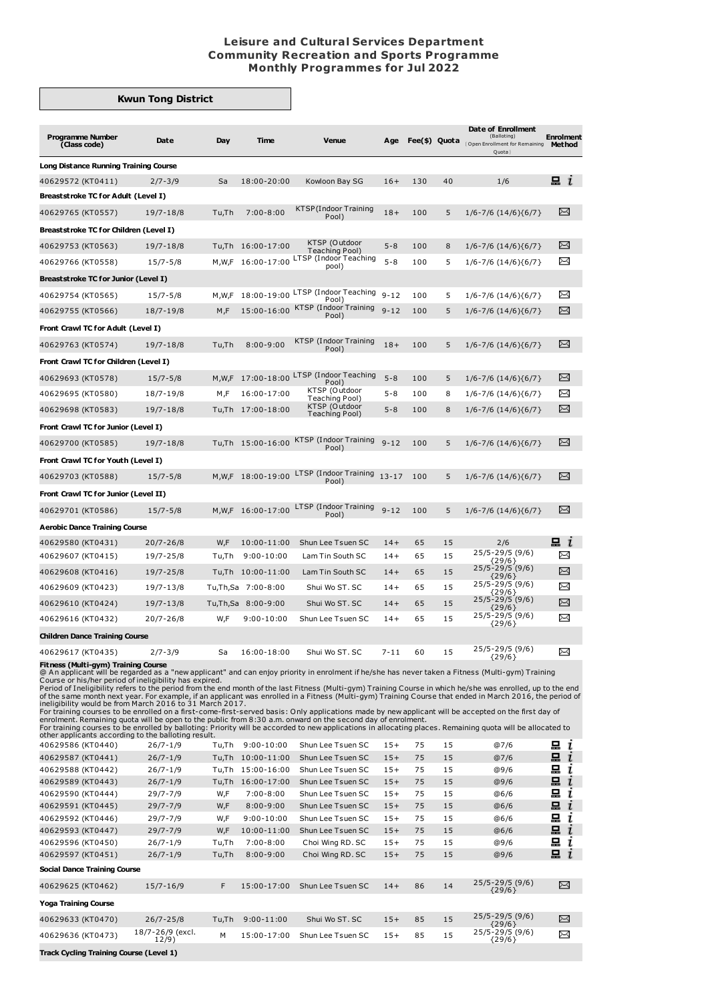## **Leisure and Cultural Services Department Community Recreation and Sports Programme Monthly Programmes for Jul 2022**

## **Kwun Tong District**

| <b>Programme Number</b><br>(Class code)                                                                                                                                                                                                                                                                                                                                                                                                                                                                                                                                                                                                                                                                                                                                                                                                                                                                                                                                                                                                                                              | Date                       | Day          | Time                               | Venue                                   | Age            | Fee(\$) Quota |          | Date of Enrollment<br>(Balloting)<br>(Open Enrollment for Remaining<br>Quota | <b>Enrolment</b><br>Method |  |  |
|--------------------------------------------------------------------------------------------------------------------------------------------------------------------------------------------------------------------------------------------------------------------------------------------------------------------------------------------------------------------------------------------------------------------------------------------------------------------------------------------------------------------------------------------------------------------------------------------------------------------------------------------------------------------------------------------------------------------------------------------------------------------------------------------------------------------------------------------------------------------------------------------------------------------------------------------------------------------------------------------------------------------------------------------------------------------------------------|----------------------------|--------------|------------------------------------|-----------------------------------------|----------------|---------------|----------|------------------------------------------------------------------------------|----------------------------|--|--|
| <b>Long Distance Running Training Course</b>                                                                                                                                                                                                                                                                                                                                                                                                                                                                                                                                                                                                                                                                                                                                                                                                                                                                                                                                                                                                                                         |                            |              |                                    |                                         |                |               |          |                                                                              |                            |  |  |
| 40629572 (KT0411)                                                                                                                                                                                                                                                                                                                                                                                                                                                                                                                                                                                                                                                                                                                                                                                                                                                                                                                                                                                                                                                                    | $2/7 - 3/9$                | Sa           | 18:00-20:00                        | Kowloon Bay SG                          | $16+$          | 130           | 40       | 1/6                                                                          | $\blacksquare$ $i$         |  |  |
| <b>Breaststroke TC for Adult (Level I)</b>                                                                                                                                                                                                                                                                                                                                                                                                                                                                                                                                                                                                                                                                                                                                                                                                                                                                                                                                                                                                                                           |                            |              |                                    |                                         |                |               |          |                                                                              |                            |  |  |
| 40629765 (KT0557)                                                                                                                                                                                                                                                                                                                                                                                                                                                                                                                                                                                                                                                                                                                                                                                                                                                                                                                                                                                                                                                                    | 19/7-18/8                  | Tu,Th        | $7:00 - 8:00$                      | KTSP (Indoor Training<br>Pool)          | $18+$          | 100           | 5        | $1/6 - 7/6$ $(14/6)\{6/7\}$                                                  | ⊠                          |  |  |
| Breaststroke TC for Children (Level I)                                                                                                                                                                                                                                                                                                                                                                                                                                                                                                                                                                                                                                                                                                                                                                                                                                                                                                                                                                                                                                               |                            |              |                                    |                                         |                |               |          |                                                                              |                            |  |  |
| 40629753 (KT0563)                                                                                                                                                                                                                                                                                                                                                                                                                                                                                                                                                                                                                                                                                                                                                                                                                                                                                                                                                                                                                                                                    | 19/7-18/8                  |              | Tu,Th 16:00-17:00                  | KTSP (Outdoor                           | $5 - 8$        | 100           | 8        | $1/6 - 7/6 (14/6)(6/7)$                                                      | X                          |  |  |
| 40629766 (KT0558)                                                                                                                                                                                                                                                                                                                                                                                                                                                                                                                                                                                                                                                                                                                                                                                                                                                                                                                                                                                                                                                                    | $15/7 - 5/8$               |              | M,W,F 16:00-17:00                  | Teaching Pool)<br>LTSP (Indoor Teaching | $5 - 8$        | 100           | 5        | $1/6 - 7/6$ (14/6){6/7}                                                      | $\Join$                    |  |  |
| <b>Breaststroke TC for Junior (Level I)</b>                                                                                                                                                                                                                                                                                                                                                                                                                                                                                                                                                                                                                                                                                                                                                                                                                                                                                                                                                                                                                                          |                            |              |                                    | pool)                                   |                |               |          |                                                                              |                            |  |  |
| 40629754 (KT0565)                                                                                                                                                                                                                                                                                                                                                                                                                                                                                                                                                                                                                                                                                                                                                                                                                                                                                                                                                                                                                                                                    | $15/7 - 5/8$               | M,W,F        | 18:00-19:00                        | LTSP (Indoor Teaching                   | $9 - 12$       | 100           | 5        | $1/6 - 7/6 (14/6) {6/7}$                                                     | X                          |  |  |
| 40629755 (KT0566)                                                                                                                                                                                                                                                                                                                                                                                                                                                                                                                                                                                                                                                                                                                                                                                                                                                                                                                                                                                                                                                                    | 18/7-19/8                  | M,F          | 15:00-16:00                        | Pool)<br>KTSP (Indoor Training          | $9 - 12$       | 100           | 5        | $1/6 - 7/6 (14/6) {6/7}$                                                     | X                          |  |  |
|                                                                                                                                                                                                                                                                                                                                                                                                                                                                                                                                                                                                                                                                                                                                                                                                                                                                                                                                                                                                                                                                                      |                            |              |                                    | Pool)                                   |                |               |          |                                                                              |                            |  |  |
| Front Crawl TC for Adult (Level I)                                                                                                                                                                                                                                                                                                                                                                                                                                                                                                                                                                                                                                                                                                                                                                                                                                                                                                                                                                                                                                                   |                            |              |                                    | KTSP (Indoor Training                   |                |               |          |                                                                              |                            |  |  |
| 40629763 (KT0574)                                                                                                                                                                                                                                                                                                                                                                                                                                                                                                                                                                                                                                                                                                                                                                                                                                                                                                                                                                                                                                                                    | 19/7-18/8                  | Tu,Th        | $8:00 - 9:00$                      | Pool)                                   | $18+$          | 100           | 5        | $1/6 - 7/6$ (14/6){6/7}                                                      | X                          |  |  |
| Front Crawl TC for Children (Level I)                                                                                                                                                                                                                                                                                                                                                                                                                                                                                                                                                                                                                                                                                                                                                                                                                                                                                                                                                                                                                                                |                            |              |                                    |                                         |                |               |          |                                                                              |                            |  |  |
| 40629693 (KT0578)                                                                                                                                                                                                                                                                                                                                                                                                                                                                                                                                                                                                                                                                                                                                                                                                                                                                                                                                                                                                                                                                    | $15/7 - 5/8$               | M,W,F        | 17:00-18:00                        | LTSP (Indoor Teaching<br>Pool)          | $5 - 8$        | 100           | 5        | $1/6 - 7/6$ (14/6){6/7}                                                      | X                          |  |  |
| 40629695 (KT0580)                                                                                                                                                                                                                                                                                                                                                                                                                                                                                                                                                                                                                                                                                                                                                                                                                                                                                                                                                                                                                                                                    | 18/7-19/8                  | M,F          | 16:00-17:00                        | KTSP (Outdoor<br>Teaching Pool)         | $5 - 8$        | 100           | 8        | $1/6 - 7/6$ $(14/6)\{6/7\}$                                                  | $\Join$                    |  |  |
| 40629698 (KT0583)                                                                                                                                                                                                                                                                                                                                                                                                                                                                                                                                                                                                                                                                                                                                                                                                                                                                                                                                                                                                                                                                    | 19/7-18/8                  |              | Tu,Th 17:00-18:00                  | KTSP (Outdoor<br>Teaching Pool)         | $5 - 8$        | 100           | 8        | $1/6 - 7/6$ $(14/6)\{6/7\}$                                                  | X                          |  |  |
| Front Crawl TC for Junior (Level I)                                                                                                                                                                                                                                                                                                                                                                                                                                                                                                                                                                                                                                                                                                                                                                                                                                                                                                                                                                                                                                                  |                            |              |                                    |                                         |                |               |          |                                                                              |                            |  |  |
| 40629700 (KT0585)                                                                                                                                                                                                                                                                                                                                                                                                                                                                                                                                                                                                                                                                                                                                                                                                                                                                                                                                                                                                                                                                    | 19/7-18/8                  |              | Tu,Th 15:00-16:00                  | KTSP (Indoor Training<br>Pool)          | $9 - 12$       | 100           | 5        | $1/6 - 7/6$ (14/6){6/7}                                                      | X                          |  |  |
| Front Crawl TC for Youth (Level I)                                                                                                                                                                                                                                                                                                                                                                                                                                                                                                                                                                                                                                                                                                                                                                                                                                                                                                                                                                                                                                                   |                            |              |                                    |                                         |                |               |          |                                                                              |                            |  |  |
| 40629703 (KT0588)                                                                                                                                                                                                                                                                                                                                                                                                                                                                                                                                                                                                                                                                                                                                                                                                                                                                                                                                                                                                                                                                    | $15/7 - 5/8$               |              | M,W,F 18:00-19:00                  | LTSP (Indoor Training                   | $13 - 17$      | 100           | 5        | $1/6 - 7/6$ (14/6){6/7}                                                      | ∝                          |  |  |
| Front Crawl TC for Junior (Level II)                                                                                                                                                                                                                                                                                                                                                                                                                                                                                                                                                                                                                                                                                                                                                                                                                                                                                                                                                                                                                                                 |                            |              |                                    | Pool)                                   |                |               |          |                                                                              |                            |  |  |
| 40629701 (KT0586)                                                                                                                                                                                                                                                                                                                                                                                                                                                                                                                                                                                                                                                                                                                                                                                                                                                                                                                                                                                                                                                                    | $15/7 - 5/8$               |              | M, W, F 16:00-17:00                | LTSP (Indoor Training                   | $9 - 12$       | 100           | 5        | $1/6 - 7/6 (14/6)(6/7)$                                                      | χ                          |  |  |
|                                                                                                                                                                                                                                                                                                                                                                                                                                                                                                                                                                                                                                                                                                                                                                                                                                                                                                                                                                                                                                                                                      |                            |              |                                    | Pool)                                   |                |               |          |                                                                              |                            |  |  |
| <b>Aerobic Dance Training Course</b>                                                                                                                                                                                                                                                                                                                                                                                                                                                                                                                                                                                                                                                                                                                                                                                                                                                                                                                                                                                                                                                 |                            |              |                                    |                                         |                |               |          |                                                                              | $\blacksquare$ $i$         |  |  |
| 40629580 (KT0431)<br>40629607 (KT0415)                                                                                                                                                                                                                                                                                                                                                                                                                                                                                                                                                                                                                                                                                                                                                                                                                                                                                                                                                                                                                                               | $20/7 - 26/8$<br>19/7-25/8 | W,F<br>Tu,Th | 10:00-11:00<br>$9:00 - 10:00$      | Shun Lee Tsuen SC<br>Lam Tin South SC   | $14+$<br>$14+$ | 65<br>65      | 15<br>15 | 2/6<br>25/5-29/5 (9/6)                                                       | X                          |  |  |
| 40629608 (KT0416)                                                                                                                                                                                                                                                                                                                                                                                                                                                                                                                                                                                                                                                                                                                                                                                                                                                                                                                                                                                                                                                                    | 19/7-25/8                  |              | Tu,Th 10:00-11:00                  | Lam Tin South SC                        | $14+$          | 65            | 15       | {29/6}<br>$25/5 - 29/5$ (9/6)                                                | X                          |  |  |
| 40629609 (KT0423)                                                                                                                                                                                                                                                                                                                                                                                                                                                                                                                                                                                                                                                                                                                                                                                                                                                                                                                                                                                                                                                                    | 19/7-13/8                  |              | Tu,Th,Sa 7:00-8:00                 | Shui Wo ST, SC                          | $14+$          | 65            | 15       | ${29/6}$<br>$25/5 - 29/5$ (9/6)                                              | X                          |  |  |
|                                                                                                                                                                                                                                                                                                                                                                                                                                                                                                                                                                                                                                                                                                                                                                                                                                                                                                                                                                                                                                                                                      | 19/7-13/8                  |              | Tu,Th,Sa 8:00-9:00                 | Shui Wo ST. SC                          | $14+$          | 65            | 15       | {29/6}<br>25/5-29/5 (9/6)                                                    | χ                          |  |  |
| 40629610 (KT0424)                                                                                                                                                                                                                                                                                                                                                                                                                                                                                                                                                                                                                                                                                                                                                                                                                                                                                                                                                                                                                                                                    |                            |              |                                    |                                         | $14+$          | 65            |          | ${29/6}$<br>25/5-29/5 (9/6)                                                  | X                          |  |  |
| 40629616 (KT0432)                                                                                                                                                                                                                                                                                                                                                                                                                                                                                                                                                                                                                                                                                                                                                                                                                                                                                                                                                                                                                                                                    | $20/7 - 26/8$              | W,F          | $9:00 - 10:00$                     | Shun Lee Tsuen SC                       |                |               | 15       | ${29/6}$                                                                     |                            |  |  |
| <b>Children Dance Training Course</b>                                                                                                                                                                                                                                                                                                                                                                                                                                                                                                                                                                                                                                                                                                                                                                                                                                                                                                                                                                                                                                                |                            |              |                                    |                                         |                |               |          | 25/5-29/5 (9/6)                                                              |                            |  |  |
| 40629617 (KT0435)                                                                                                                                                                                                                                                                                                                                                                                                                                                                                                                                                                                                                                                                                                                                                                                                                                                                                                                                                                                                                                                                    | 2/7-3/9                    | Sa           | 16:00-18:00                        | Shui Wo ST. SC                          | 7-11           | 60            | 15       | ${29/6}$                                                                     | X                          |  |  |
| <b>Fitness (Multi-gym) Training Course</b><br>@ An applicant will be regarded as a "new applicant" and can enjoy priority in enrolment if he/she has never taken a Fitness (Multi-gym) Training<br>Course or his/her period of ineligibility has expired.<br>Period of Ineligibility refers to the period from the end month of the last Fitness (Multi-gym) Training Course in which he/she was enrolled, up to the end<br>of the same month next year. For example, if an applicant was enrolled in a Fitness (Multi-gym) Training Course that ended in March 2016, the period of<br>ineligibility would be from March 2016 to 31 March 2017.<br>For training courses to be enrolled on a first-come-first-served basis: Only applications made by new applicant will be accepted on the first day of<br>enrolment. Remaining quota will be open to the public from 8:30 a.m. onward on the second day of enrolment.<br>For training courses to be enrolled by balloting: Priority will be accorded to new applications in allocating places. Remaining quota will be allocated to |                            |              |                                    |                                         |                |               |          |                                                                              |                            |  |  |
| other applicants according to the balloting result.<br>40629586 (KT0440)                                                                                                                                                                                                                                                                                                                                                                                                                                                                                                                                                                                                                                                                                                                                                                                                                                                                                                                                                                                                             | $26/7 - 1/9$               |              | Tu.Th 9:00-10:00                   | Shun Lee Tsuen SC                       | $15+$          | 75            | 15       | @7/6                                                                         | 묘<br>ı                     |  |  |
| 40629587 (KT0441)                                                                                                                                                                                                                                                                                                                                                                                                                                                                                                                                                                                                                                                                                                                                                                                                                                                                                                                                                                                                                                                                    | $26/7 - 1/9$               |              | Tu,Th 10:00-11:00                  | Shun Lee Tsuen SC                       | $15+$          | 75            | 15       | @7/6                                                                         | 묘<br>ı                     |  |  |
| 40629588 (KT0442)                                                                                                                                                                                                                                                                                                                                                                                                                                                                                                                                                                                                                                                                                                                                                                                                                                                                                                                                                                                                                                                                    | $26/7 - 1/9$               |              | Tu,Th 15:00-16:00                  | Shun Lee Tsuen SC                       | $15+$          | 75            | 15       | @9/6                                                                         | 모ί                         |  |  |
| 40629589 (KT0443)                                                                                                                                                                                                                                                                                                                                                                                                                                                                                                                                                                                                                                                                                                                                                                                                                                                                                                                                                                                                                                                                    | $26/7 - 1/9$               |              | Tu,Th 16:00-17:00<br>$7:00 - 8:00$ | Shun Lee Tsuen SC<br>Shun Lee Tsuen SC  | $15+$          | 75            | 15       | @9/6                                                                         | $\dot{i}$<br>묘<br>됴        |  |  |
| 40629590 (KT0444)<br>40629591 (KT0445)                                                                                                                                                                                                                                                                                                                                                                                                                                                                                                                                                                                                                                                                                                                                                                                                                                                                                                                                                                                                                                               | 29/7-7/9<br>29/7-7/9       | W,F<br>W,F   | $8:00 - 9:00$                      | Shun Lee Tsuen SC                       | $15+$<br>$15+$ | 75<br>75      | 15<br>15 | @6/6<br>@6/6                                                                 | ı<br>묘<br>ı                |  |  |
| 40629592 (KT0446)                                                                                                                                                                                                                                                                                                                                                                                                                                                                                                                                                                                                                                                                                                                                                                                                                                                                                                                                                                                                                                                                    | $29/7 - 7/9$               | W,F          | $9:00 - 10:00$                     | Shun Lee Tsuen SC                       | $15+$          | 75            | 15       | @6/6                                                                         | 믔<br>ı                     |  |  |
| 40629593 (KT0447)                                                                                                                                                                                                                                                                                                                                                                                                                                                                                                                                                                                                                                                                                                                                                                                                                                                                                                                                                                                                                                                                    | $29/7 - 7/9$               | W,F          | 10:00-11:00                        | Shun Lee Tsuen SC                       | $15+$          | 75            | 15       | @6/6                                                                         | 묘<br>$\mathbf{r}$          |  |  |
| 40629596 (KT0450)                                                                                                                                                                                                                                                                                                                                                                                                                                                                                                                                                                                                                                                                                                                                                                                                                                                                                                                                                                                                                                                                    | $26/7 - 1/9$               | Tu,Th        | $7:00 - 8:00$                      | Choi Wing RD. SC                        | $15+$          | 75            | 15       | @9/6                                                                         | 묘<br>ı                     |  |  |
| 40629597 (KT0451)                                                                                                                                                                                                                                                                                                                                                                                                                                                                                                                                                                                                                                                                                                                                                                                                                                                                                                                                                                                                                                                                    | $26/7 - 1/9$               | Tu,Th        | $8:00 - 9:00$                      | Choi Wing RD. SC                        | $15+$          | 75            | 15       | @9/6                                                                         | 묘<br>$\mathbf{r}$          |  |  |
| <b>Social Dance Training Course</b>                                                                                                                                                                                                                                                                                                                                                                                                                                                                                                                                                                                                                                                                                                                                                                                                                                                                                                                                                                                                                                                  |                            |              |                                    |                                         |                |               |          |                                                                              |                            |  |  |
| 40629625 (KT0462)                                                                                                                                                                                                                                                                                                                                                                                                                                                                                                                                                                                                                                                                                                                                                                                                                                                                                                                                                                                                                                                                    | $15/7 - 16/9$              | F            | 15:00-17:00                        | Shun Lee Tsuen SC                       | $14+$          | 86            | 14       | $25/5 - 29/5$ (9/6)<br>${29/6}$                                              | X                          |  |  |
| <b>Yoga Training Course</b>                                                                                                                                                                                                                                                                                                                                                                                                                                                                                                                                                                                                                                                                                                                                                                                                                                                                                                                                                                                                                                                          |                            |              |                                    |                                         |                |               |          |                                                                              |                            |  |  |
| 40629633 (KT0470)                                                                                                                                                                                                                                                                                                                                                                                                                                                                                                                                                                                                                                                                                                                                                                                                                                                                                                                                                                                                                                                                    | $26/7 - 25/8$              | Tu,Th        | $9:00 - 11:00$                     | Shui Wo ST. SC                          | $15+$          | 85            | 15       | $25/5 - 29/5$ (9/6)<br>${29/6}$                                              | $\Join$                    |  |  |
| 40629636 (KT0473)                                                                                                                                                                                                                                                                                                                                                                                                                                                                                                                                                                                                                                                                                                                                                                                                                                                                                                                                                                                                                                                                    | 18/7-26/9 (excl.<br>12/9)  | М            | 15:00-17:00                        | Shun Lee Tsuen SC                       | $15+$          | 85            | 15       | 25/5-29/5 (9/6)<br>${29/6}$                                                  | X                          |  |  |

**Track Cycling Training Course (Level 1)**